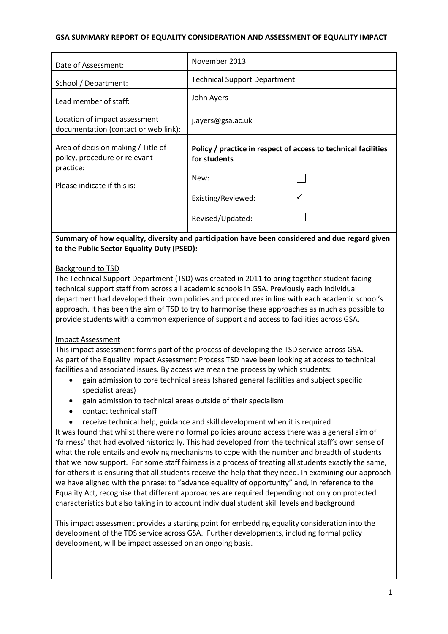# **GSA SUMMARY REPORT OF EQUALITY CONSIDERATION AND ASSESSMENT OF EQUALITY IMPACT**

| Date of Assessment:                                                              | November 2013                                                                  |  |
|----------------------------------------------------------------------------------|--------------------------------------------------------------------------------|--|
| School / Department:                                                             | <b>Technical Support Department</b>                                            |  |
| Lead member of staff:                                                            | John Ayers                                                                     |  |
| Location of impact assessment<br>documentation (contact or web link):            | j.ayers@gsa.ac.uk                                                              |  |
| Area of decision making / Title of<br>policy, procedure or relevant<br>practice: | Policy / practice in respect of access to technical facilities<br>for students |  |
| Please indicate if this is:                                                      | New:                                                                           |  |
|                                                                                  | Existing/Reviewed:                                                             |  |
|                                                                                  | Revised/Updated:                                                               |  |

# **Summary of how equality, diversity and participation have been considered and due regard given to the Public Sector Equality Duty (PSED):**

# Background to TSD

The Technical Support Department (TSD) was created in 2011 to bring together student facing technical support staff from across all academic schools in GSA. Previously each individual department had developed their own policies and procedures in line with each academic school's approach. It has been the aim of TSD to try to harmonise these approaches as much as possible to provide students with a common experience of support and access to facilities across GSA.

### Impact Assessment

This impact assessment forms part of the process of developing the TSD service across GSA. As part of the Equality Impact Assessment Process TSD have been looking at access to technical facilities and associated issues. By access we mean the process by which students:

- gain admission to core technical areas (shared general facilities and subject specific specialist areas)
- gain admission to technical areas outside of their specialism
- contact technical staff
- receive technical help, guidance and skill development when it is required

It was found that whilst there were no formal policies around access there was a general aim of 'fairness' that had evolved historically. This had developed from the technical staff's own sense of what the role entails and evolving mechanisms to cope with the number and breadth of students that we now support. For some staff fairness is a process of treating all students exactly the same, for others it is ensuring that all students receive the help that they need. In examining our approach we have aligned with the phrase: to "advance equality of opportunity" and, in reference to the Equality Act, recognise that different approaches are required depending not only on protected characteristics but also taking in to account individual student skill levels and background.

This impact assessment provides a starting point for embedding equality consideration into the development of the TDS service across GSA. Further developments, including formal policy development, will be impact assessed on an ongoing basis.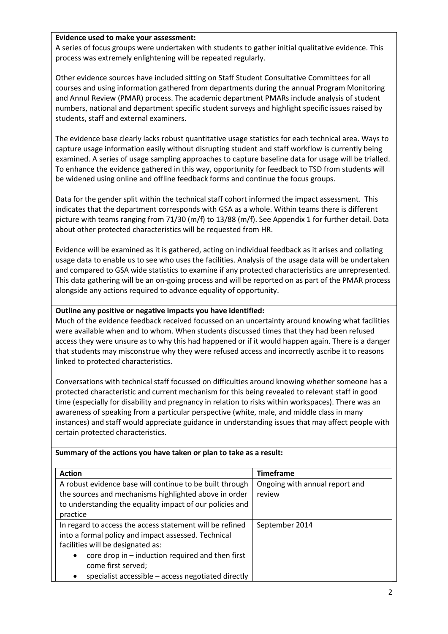### **Evidence used to make your assessment:**

A series of focus groups were undertaken with students to gather initial qualitative evidence. This process was extremely enlightening will be repeated regularly.

Other evidence sources have included sitting on Staff Student Consultative Committees for all courses and using information gathered from departments during the annual Program Monitoring and Annul Review (PMAR) process. The academic department PMARs include analysis of student numbers, national and department specific student surveys and highlight specific issues raised by students, staff and external examiners.

The evidence base clearly lacks robust quantitative usage statistics for each technical area. Ways to capture usage information easily without disrupting student and staff workflow is currently being examined. A series of usage sampling approaches to capture baseline data for usage will be trialled. To enhance the evidence gathered in this way, opportunity for feedback to TSD from students will be widened using online and offline feedback forms and continue the focus groups.

Data for the gender split within the technical staff cohort informed the impact assessment. This indicates that the department corresponds with GSA as a whole. Within teams there is different picture with teams ranging from 71/30 (m/f) to 13/88 (m/f). See Appendix 1 for further detail. Data about other protected characteristics will be requested from HR.

Evidence will be examined as it is gathered, acting on individual feedback as it arises and collating usage data to enable us to see who uses the facilities. Analysis of the usage data will be undertaken and compared to GSA wide statistics to examine if any protected characteristics are unrepresented. This data gathering will be an on-going process and will be reported on as part of the PMAR process alongside any actions required to advance equality of opportunity.

# **Outline any positive or negative impacts you have identified:**

Much of the evidence feedback received focussed on an uncertainty around knowing what facilities were available when and to whom. When students discussed times that they had been refused access they were unsure as to why this had happened or if it would happen again. There is a danger that students may misconstrue why they were refused access and incorrectly ascribe it to reasons linked to protected characteristics.

Conversations with technical staff focussed on difficulties around knowing whether someone has a protected characteristic and current mechanism for this being revealed to relevant staff in good time (especially for disability and pregnancy in relation to risks within workspaces). There was an awareness of speaking from a particular perspective (white, male, and middle class in many instances) and staff would appreciate guidance in understanding issues that may affect people with certain protected characteristics.

### **Summary of the actions you have taken or plan to take as a result:** Action **Action Timeframe** A robust evidence base will continue to be built through the sources and mechanisms highlighted above in order to understanding the equality impact of our policies and practice Ongoing with annual report and review In regard to access the access statement will be refined into a formal policy and impact assessed. Technical facilities will be designated as: core drop in – induction required and then first September 2014

come first served;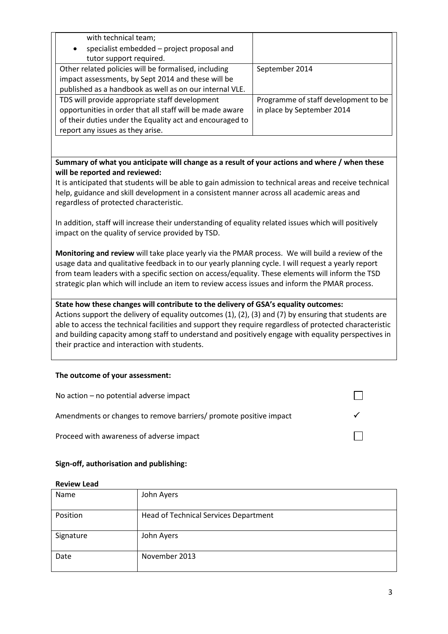| with technical team;                                     |                                      |
|----------------------------------------------------------|--------------------------------------|
| specialist embedded - project proposal and<br>$\bullet$  |                                      |
| tutor support required.                                  |                                      |
| Other related policies will be formalised, including     | September 2014                       |
| impact assessments, by Sept 2014 and these will be       |                                      |
| published as a handbook as well as on our internal VLE.  |                                      |
| TDS will provide appropriate staff development           | Programme of staff development to be |
| opportunities in order that all staff will be made aware | in place by September 2014           |
| of their duties under the Equality act and encouraged to |                                      |
| report any issues as they arise.                         |                                      |

**Summary of what you anticipate will change as a result of your actions and where / when these will be reported and reviewed:**

It is anticipated that students will be able to gain admission to technical areas and receive technical help, guidance and skill development in a consistent manner across all academic areas and regardless of protected characteristic.

In addition, staff will increase their understanding of equality related issues which will positively impact on the quality of service provided by TSD.

**Monitoring and review** will take place yearly via the PMAR process. We will build a review of the usage data and qualitative feedback in to our yearly planning cycle. I will request a yearly report from team leaders with a specific section on access/equality. These elements will inform the TSD strategic plan which will include an item to review access issues and inform the PMAR process.

### **State how these changes will contribute to the delivery of GSA's equality outcomes:**

Actions support the delivery of equality outcomes (1), (2), (3) and (7) by ensuring that students are able to access the technical facilities and support they require regardless of protected characteristic and building capacity among staff to understand and positively engage with equality perspectives in their practice and interaction with students.

# **The outcome of your assessment:**

| No action $-$ no potential adverse impact                         |  |
|-------------------------------------------------------------------|--|
| Amendments or changes to remove barriers/ promote positive impact |  |
| Proceed with awareness of adverse impact                          |  |

# **Sign-off, authorisation and publishing:**

| Name      | John Ayers                            |
|-----------|---------------------------------------|
| Position  | Head of Technical Services Department |
| Signature | John Ayers                            |
| Date      | November 2013                         |